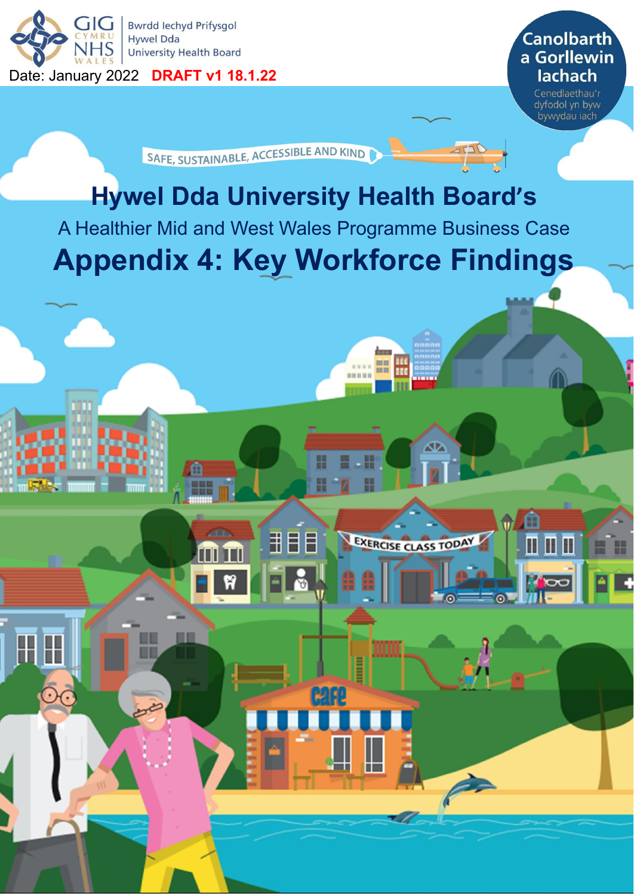

SAFE, SUSTAINABLE, ACCESSIBLE AND KIND

# **Hywel Dda University Health Board's**

A Healthier Mid and West Wales Programme Business Case

## **Appendix 4: Key Workforce Findings**

用目目

الاالغا

Tſ

 $\begin{array}{c} \begin{array}{c} \text{...}\\ \text{...}\\ \text{...}\\ \end{array} \end{array}$ 

EXERCISE CLASS TODAY

⋔

Ш П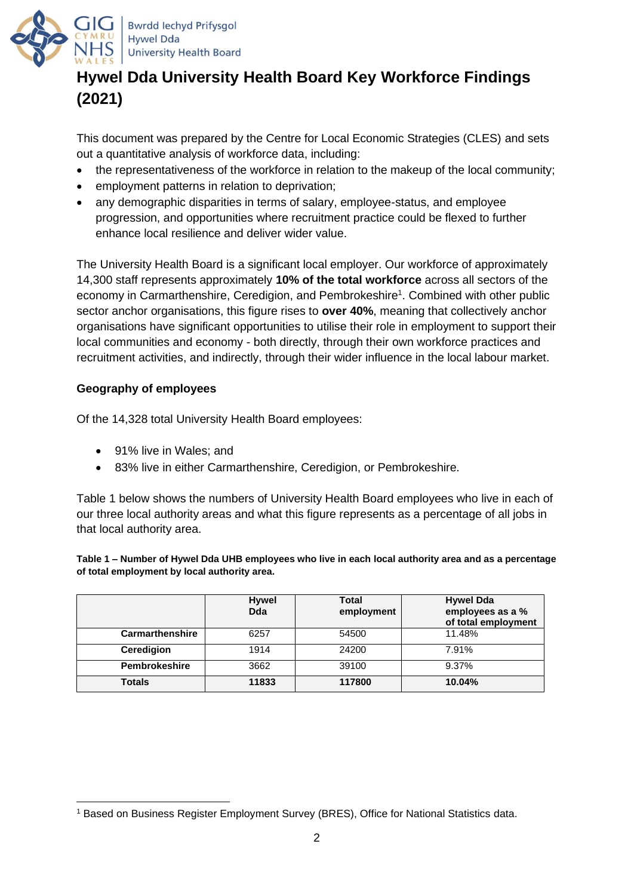

## **Hywel Dda University Health Board Key Workforce Findings (2021)**

This document was prepared by the Centre for Local Economic Strategies (CLES) and sets out a quantitative analysis of workforce data, including:

- the representativeness of the workforce in relation to the makeup of the local community;
- employment patterns in relation to deprivation:
- any demographic disparities in terms of salary, employee-status, and employee progression, and opportunities where recruitment practice could be flexed to further enhance local resilience and deliver wider value.

The University Health Board is a significant local employer. Our workforce of approximately 14,300 staff represents approximately **10% of the total workforce** across all sectors of the economy in Carmarthenshire, Ceredigion, and Pembrokeshire<sup>1</sup>. Combined with other public sector anchor organisations, this figure rises to **over 40%**, meaning that collectively anchor organisations have significant opportunities to utilise their role in employment to support their local communities and economy - both directly, through their own workforce practices and recruitment activities, and indirectly, through their wider influence in the local labour market.

## **Geography of employees**

Of the 14,328 total University Health Board employees:

- 91% live in Wales: and
- 83% live in either Carmarthenshire, Ceredigion, or Pembrokeshire.

Table 1 below shows the numbers of University Health Board employees who live in each of our three local authority areas and what this figure represents as a percentage of all jobs in that local authority area.

**Table 1 – Number of Hywel Dda UHB employees who live in each local authority area and as a percentage of total employment by local authority area.**

|                        | <b>Hywel</b><br><b>Dda</b> | Total<br>employment | <b>Hywel Dda</b><br>employees as a %<br>of total employment |
|------------------------|----------------------------|---------------------|-------------------------------------------------------------|
| <b>Carmarthenshire</b> | 6257                       | 54500               | 11.48%                                                      |
| Ceredigion             | 1914                       | 24200               | 7.91%                                                       |
| <b>Pembrokeshire</b>   | 3662                       | 39100               | 9.37%                                                       |
| <b>Totals</b>          | 11833                      | 117800              | 10.04%                                                      |

<sup>1</sup> Based on Business Register Employment Survey (BRES), Office for National Statistics data.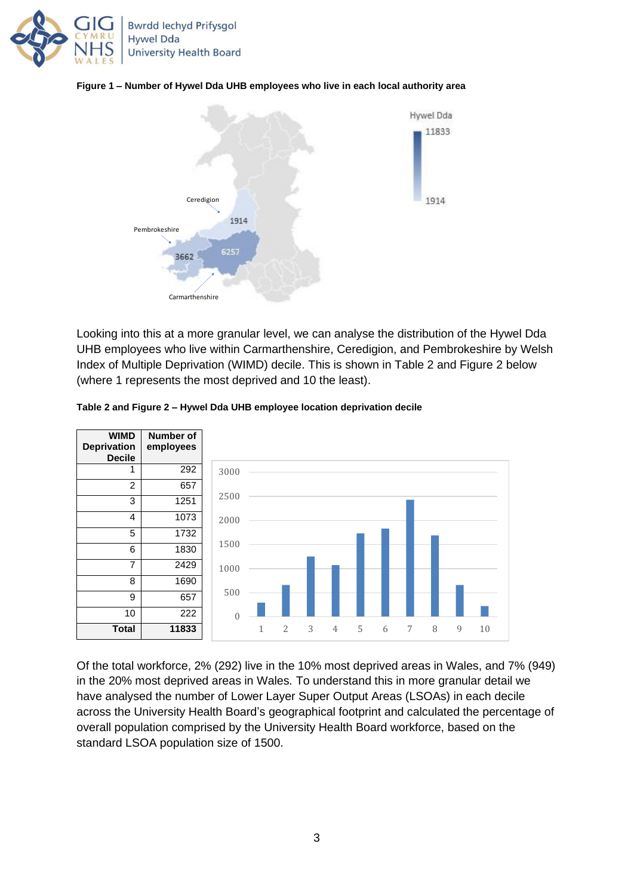





Looking into this at a more granular level, we can analyse the distribution of the Hywel Dda UHB employees who live within Carmarthenshire, Ceredigion, and Pembrokeshire by Welsh Index of Multiple Deprivation (WIMD) decile. This is shown in Table 2 and Figure 2 below (where 1 represents the most deprived and 10 the least).



#### **Table 2 and Figure 2 – Hywel Dda UHB employee location deprivation decile**

Of the total workforce, 2% (292) live in the 10% most deprived areas in Wales, and 7% (949) in the 20% most deprived areas in Wales. To understand this in more granular detail we have analysed the number of Lower Layer Super Output Areas (LSOAs) in each decile across the University Health Board's geographical footprint and calculated the percentage of overall population comprised by the University Health Board workforce, based on the standard LSOA population size of 1500.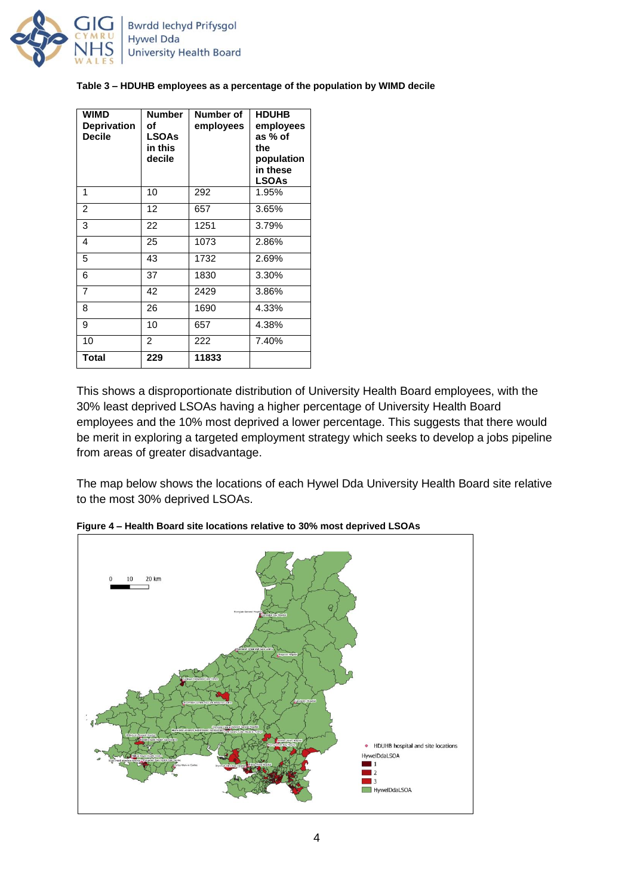

#### **Table 3 – HDUHB employees as a percentage of the population by WIMD decile**

| WIMD<br><b>Deprivation</b><br><b>Decile</b> | <b>Number</b><br>οf<br><b>LSOAs</b><br>in this<br>decile | Number of<br>employees | <b>HDUHB</b><br>employees<br>as % of<br>the<br>population<br>in these<br><b>LSOAs</b> |
|---------------------------------------------|----------------------------------------------------------|------------------------|---------------------------------------------------------------------------------------|
| 1                                           | 10                                                       | 292                    | 1.95%                                                                                 |
| $\overline{2}$                              | 12                                                       | 657                    | 3.65%                                                                                 |
| 3                                           | 22                                                       | 1251                   | 3.79%                                                                                 |
| 4                                           | 25                                                       | 1073                   | 2.86%                                                                                 |
| 5                                           | 43                                                       | 1732                   | 2.69%                                                                                 |
| 6                                           | 37                                                       | 1830                   | 3.30%                                                                                 |
| $\overline{7}$                              | 42                                                       | 2429                   | 3.86%                                                                                 |
| 8                                           | 26                                                       | 1690                   | 4.33%                                                                                 |
| 9                                           | 10                                                       | 657                    | 4.38%                                                                                 |
| 10                                          | $\overline{2}$                                           | 222                    | 7.40%                                                                                 |
| <b>Total</b>                                | 229                                                      | 11833                  |                                                                                       |

This shows a disproportionate distribution of University Health Board employees, with the 30% least deprived LSOAs having a higher percentage of University Health Board employees and the 10% most deprived a lower percentage. This suggests that there would be merit in exploring a targeted employment strategy which seeks to develop a jobs pipeline from areas of greater disadvantage.

The map below shows the locations of each Hywel Dda University Health Board site relative to the most 30% deprived LSOAs.



**Figure 4 – Health Board site locations relative to 30% most deprived LSOAs**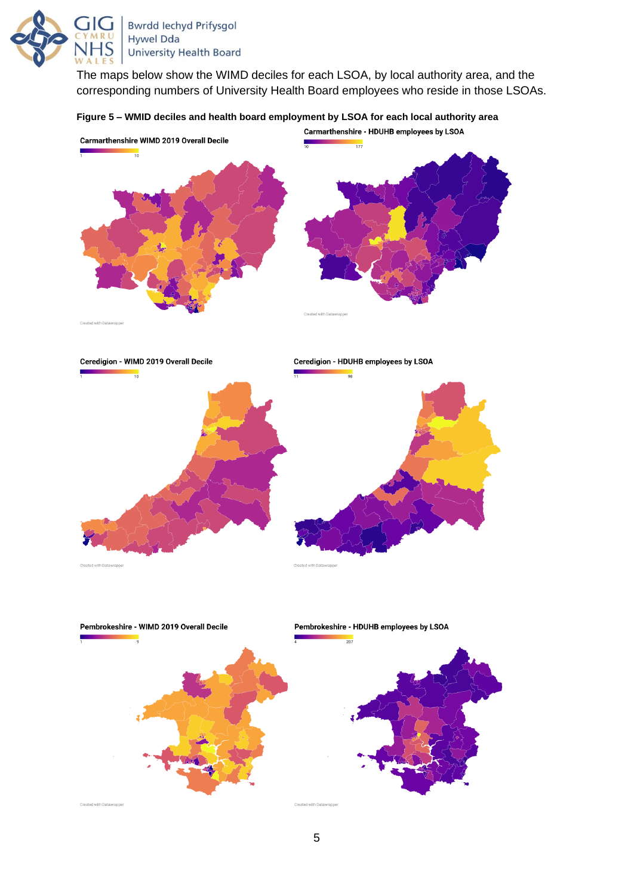

The maps below show the WIMD deciles for each LSOA, by local authority area, and the corresponding numbers of University Health Board employees who reside in those LSOAs.

#### **Figure 5 – WMID deciles and health board employment by LSOA for each local authority area**





Pembrokeshire - WIMD 2019 Overall Decile  $207$ Created with Datawrappe



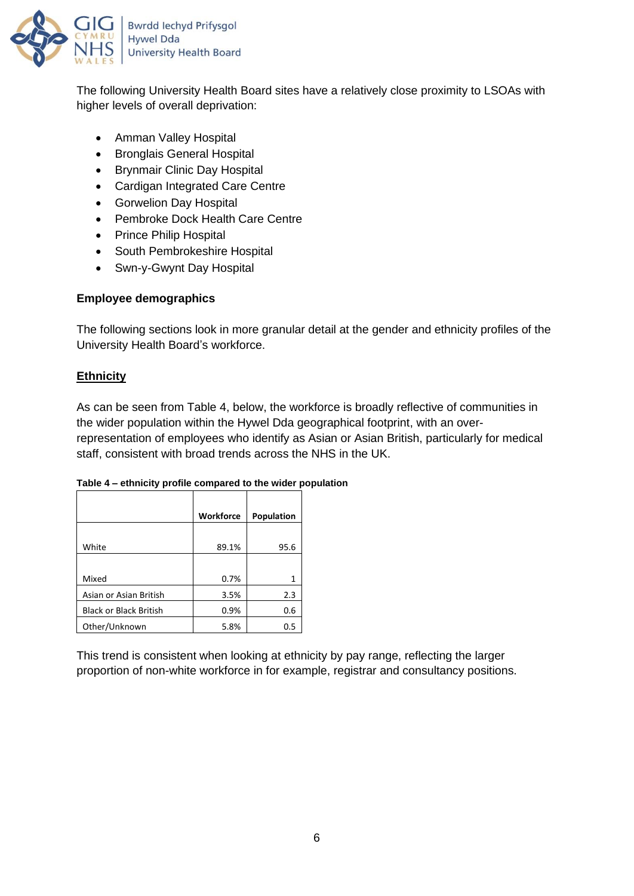

The following University Health Board sites have a relatively close proximity to LSOAs with higher levels of overall deprivation:

- Amman Valley Hospital
- Bronglais General Hospital
- Brynmair Clinic Day Hospital
- Cardigan Integrated Care Centre
- Gorwelion Day Hospital
- Pembroke Dock Health Care Centre
- Prince Philip Hospital
- South Pembrokeshire Hospital
- Swn-y-Gwynt Day Hospital

## **Employee demographics**

The following sections look in more granular detail at the gender and ethnicity profiles of the University Health Board's workforce.

## **Ethnicity**

As can be seen from Table 4, below, the workforce is broadly reflective of communities in the wider population within the Hywel Dda geographical footprint, with an overrepresentation of employees who identify as Asian or Asian British, particularly for medical staff, consistent with broad trends across the NHS in the UK.

|                               | Workforce | Population |
|-------------------------------|-----------|------------|
| White                         | 89.1%     | 95.6       |
| Mixed                         | 0.7%      | 1          |
| Asian or Asian British        | 3.5%      | 2.3        |
| <b>Black or Black British</b> | 0.9%      | 0.6        |
| Other/Unknown                 | 5.8%      | 0.5        |

### **Table 4 – ethnicity profile compared to the wider population**

This trend is consistent when looking at ethnicity by pay range, reflecting the larger proportion of non-white workforce in for example, registrar and consultancy positions.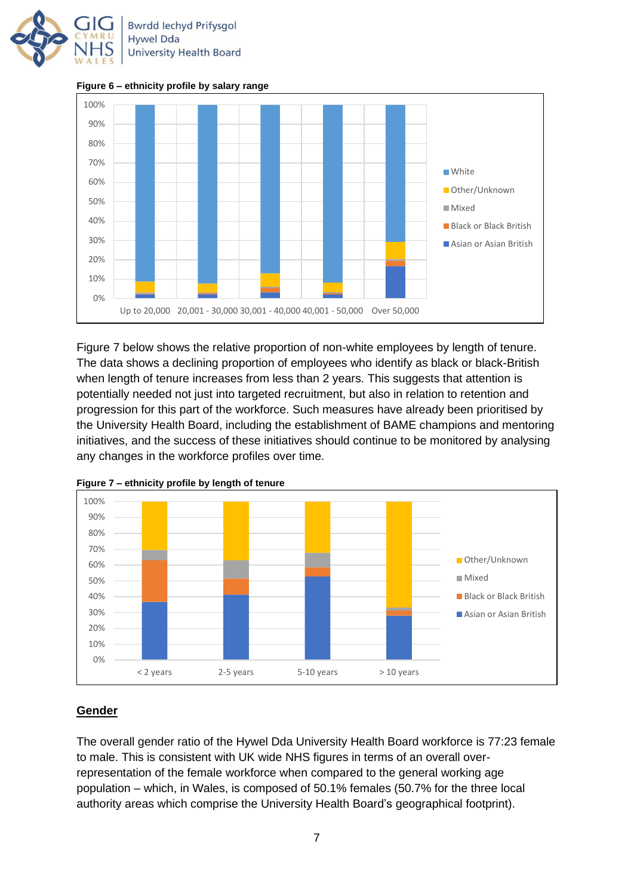

**Figure 6 – ethnicity profile by salary range**



Figure 7 below shows the relative proportion of non-white employees by length of tenure. The data shows a declining proportion of employees who identify as black or black-British when length of tenure increases from less than 2 years. This suggests that attention is potentially needed not just into targeted recruitment, but also in relation to retention and progression for this part of the workforce. Such measures have already been prioritised by the University Health Board, including the establishment of BAME champions and mentoring initiatives, and the success of these initiatives should continue to be monitored by analysing any changes in the workforce profiles over time.





## **Gender**

The overall gender ratio of the Hywel Dda University Health Board workforce is 77:23 female to male. This is consistent with UK wide NHS figures in terms of an overall overrepresentation of the female workforce when compared to the general working age population – which, in Wales, is composed of 50.1% females (50.7% for the three local authority areas which comprise the University Health Board's geographical footprint).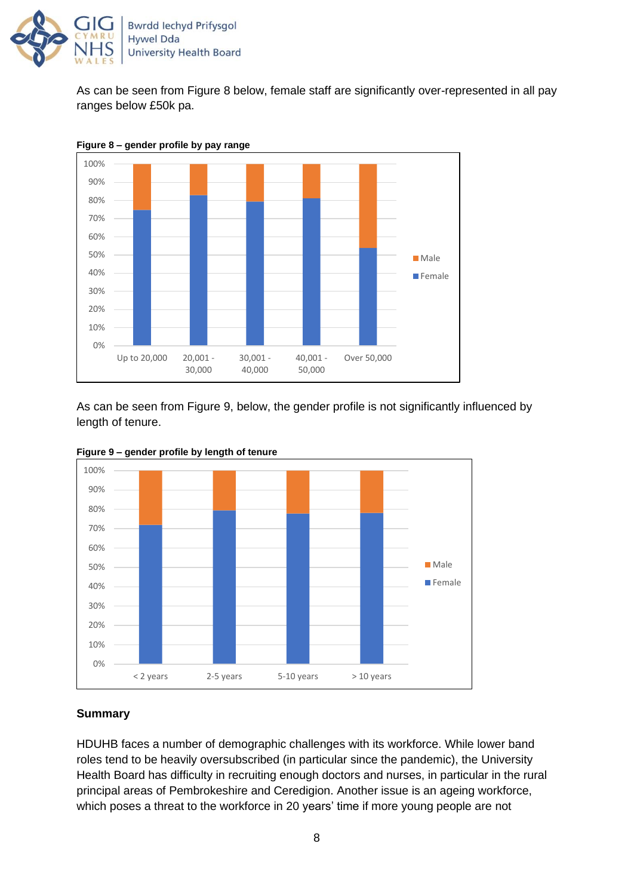

As can be seen from Figure 8 below, female staff are significantly over-represented in all pay ranges below £50k pa.



**Figure 8 – gender profile by pay range**

As can be seen from Figure 9, below, the gender profile is not significantly influenced by length of tenure.





### **Summary**

HDUHB faces a number of demographic challenges with its workforce. While lower band roles tend to be heavily oversubscribed (in particular since the pandemic), the University Health Board has difficulty in recruiting enough doctors and nurses, in particular in the rural principal areas of Pembrokeshire and Ceredigion. Another issue is an ageing workforce, which poses a threat to the workforce in 20 years' time if more young people are not